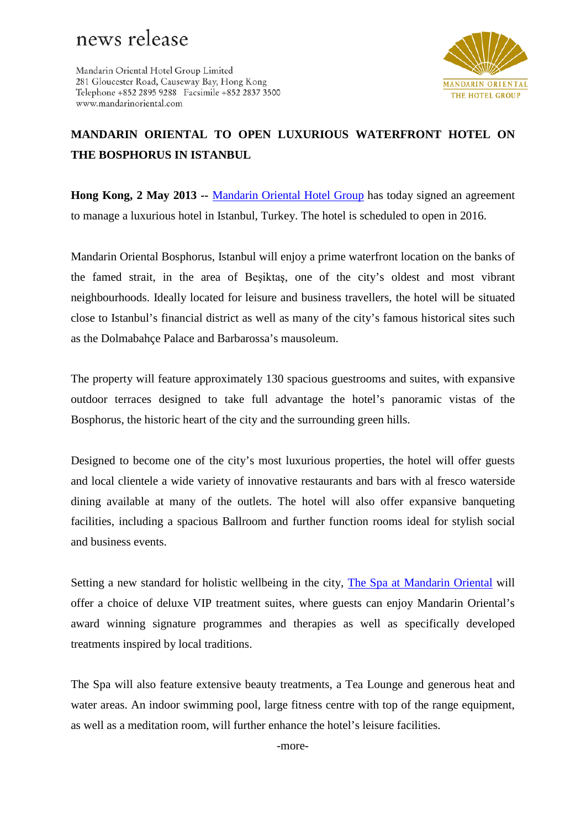## news release

Mandarin Oriental Hotel Group Limited 281 Gloucester Road, Causeway Bay, Hong Kong Telephone +852 2895 9288 Facsimile +852 2837 3500 www.mandarinoriental.com



## **MANDARIN ORIENTAL TO OPEN LUXURIOUS WATERFRONT HOTEL ON THE BOSPHORUS IN ISTANBUL**

**Hong Kong, 2 May 2013 --** [Mandarin Oriental Hotel Group](http://www.mandarinoriental.com/) has today signed an agreement to manage a luxurious hotel in Istanbul, Turkey. The hotel is scheduled to open in 2016.

Mandarin Oriental Bosphorus, Istanbul will enjoy a prime waterfront location on the banks of the famed strait, in the area of Beşiktaş, one of the city's oldest and most vibrant neighbourhoods. Ideally located for leisure and business travellers, the hotel will be situated close to Istanbul's financial district as well as many of the city's famous historical sites such as the Dolmabahçe Palace and Barbarossa's mausoleum.

The property will feature approximately 130 spacious guestrooms and suites, with expansive outdoor terraces designed to take full advantage the hotel's panoramic vistas of the Bosphorus, the historic heart of the city and the surrounding green hills.

Designed to become one of the city's most luxurious properties, the hotel will offer guests and local clientele a wide variety of innovative restaurants and bars with al fresco waterside dining available at many of the outlets. The hotel will also offer expansive banqueting facilities, including a spacious Ballroom and further function rooms ideal for stylish social and business events.

Setting a new standard for holistic wellbeing in the city, [The Spa at Mandarin Oriental](http://www.mandarinoriental.com/experience/luxury-spas/) will offer a choice of deluxe VIP treatment suites, where guests can enjoy Mandarin Oriental's award winning signature programmes and therapies as well as specifically developed treatments inspired by local traditions.

The Spa will also feature extensive beauty treatments, a Tea Lounge and generous heat and water areas. An indoor swimming pool, large fitness centre with top of the range equipment, as well as a meditation room, will further enhance the hotel's leisure facilities.

-more-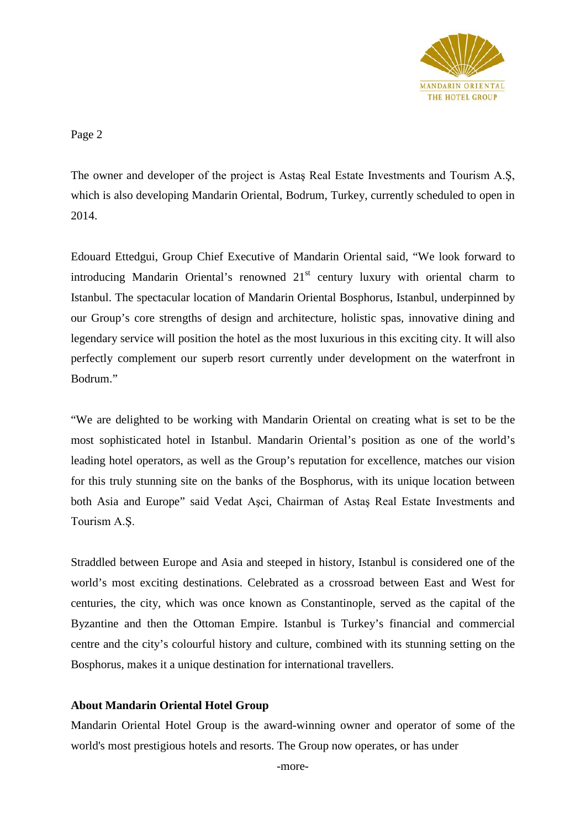

Page 2

The owner and developer of the project is Astaş Real Estate Investments and Tourism A.Ş, which is also developing Mandarin Oriental, Bodrum, Turkey, currently scheduled to open in 2014.

Edouard Ettedgui, Group Chief Executive of Mandarin Oriental said, "We look forward to introducing Mandarin Oriental's renowned  $21<sup>st</sup>$  century luxury with oriental charm to Istanbul. The spectacular location of Mandarin Oriental Bosphorus, Istanbul, underpinned by our Group's core strengths of design and architecture, holistic spas, innovative dining and legendary service will position the hotel as the most luxurious in this exciting city. It will also perfectly complement our superb resort currently under development on the waterfront in Bodrum."

"We are delighted to be working with Mandarin Oriental on creating what is set to be the most sophisticated hotel in Istanbul. Mandarin Oriental's position as one of the world's leading hotel operators, as well as the Group's reputation for excellence, matches our vision for this truly stunning site on the banks of the Bosphorus, with its unique location between both Asia and Europe" said Vedat Aşci, Chairman of Astaş Real Estate Investments and Tourism A.Ş.

Straddled between Europe and Asia and steeped in history, Istanbul is considered one of the world's most exciting destinations. Celebrated as a crossroad between East and West for centuries, the city, which was once known as Constantinople, served as the capital of the Byzantine and then the Ottoman Empire. Istanbul is Turkey's financial and commercial centre and the city's colourful history and culture, combined with its stunning setting on the Bosphorus, makes it a unique destination for international travellers.

## **About Mandarin Oriental Hotel Group**

Mandarin Oriental Hotel Group is the award-winning owner and operator of some of the world's most prestigious hotels and resorts. The Group now operates, or has under